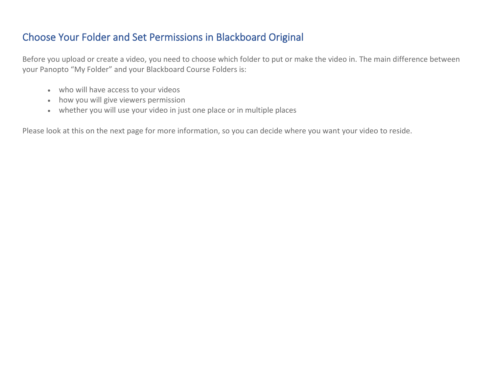## Choose Your Folder and Set Permissions in Blackboard Original

Before you upload or create a video, you need to choose which folder to put or make the video in. The main difference between your Panopto "My Folder" and your Blackboard Course Folders is:

- who will have access to your videos
- how you will give viewers permission
- whether you will use your video in just one place or in multiple places

Please look at this on the next page for more information, so you can decide where you want your video to reside.